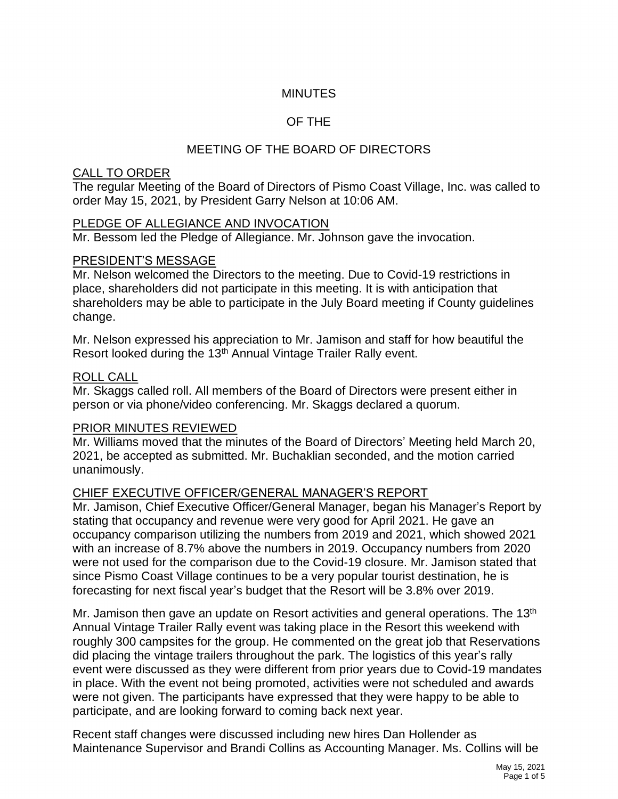# **MINUTES**

# OF THE

# MEETING OF THE BOARD OF DIRECTORS

#### CALL TO ORDER

The regular Meeting of the Board of Directors of Pismo Coast Village, Inc. was called to order May 15, 2021, by President Garry Nelson at 10:06 AM.

### PLEDGE OF ALLEGIANCE AND INVOCATION

Mr. Bessom led the Pledge of Allegiance. Mr. Johnson gave the invocation.

#### PRESIDENT'S MESSAGE

Mr. Nelson welcomed the Directors to the meeting. Due to Covid-19 restrictions in place, shareholders did not participate in this meeting. It is with anticipation that shareholders may be able to participate in the July Board meeting if County guidelines change.

Mr. Nelson expressed his appreciation to Mr. Jamison and staff for how beautiful the Resort looked during the 13<sup>th</sup> Annual Vintage Trailer Rally event.

#### ROLL CALL

Mr. Skaggs called roll. All members of the Board of Directors were present either in person or via phone/video conferencing. Mr. Skaggs declared a quorum.

### PRIOR MINUTES REVIEWED

Mr. Williams moved that the minutes of the Board of Directors' Meeting held March 20, 2021, be accepted as submitted. Mr. Buchaklian seconded, and the motion carried unanimously.

### CHIEF EXECUTIVE OFFICER/GENERAL MANAGER'S REPORT

Mr. Jamison, Chief Executive Officer/General Manager, began his Manager's Report by stating that occupancy and revenue were very good for April 2021. He gave an occupancy comparison utilizing the numbers from 2019 and 2021, which showed 2021 with an increase of 8.7% above the numbers in 2019. Occupancy numbers from 2020 were not used for the comparison due to the Covid-19 closure. Mr. Jamison stated that since Pismo Coast Village continues to be a very popular tourist destination, he is forecasting for next fiscal year's budget that the Resort will be 3.8% over 2019.

Mr. Jamison then gave an update on Resort activities and general operations. The 13<sup>th</sup> Annual Vintage Trailer Rally event was taking place in the Resort this weekend with roughly 300 campsites for the group. He commented on the great job that Reservations did placing the vintage trailers throughout the park. The logistics of this year's rally event were discussed as they were different from prior years due to Covid-19 mandates in place. With the event not being promoted, activities were not scheduled and awards were not given. The participants have expressed that they were happy to be able to participate, and are looking forward to coming back next year.

Recent staff changes were discussed including new hires Dan Hollender as Maintenance Supervisor and Brandi Collins as Accounting Manager. Ms. Collins will be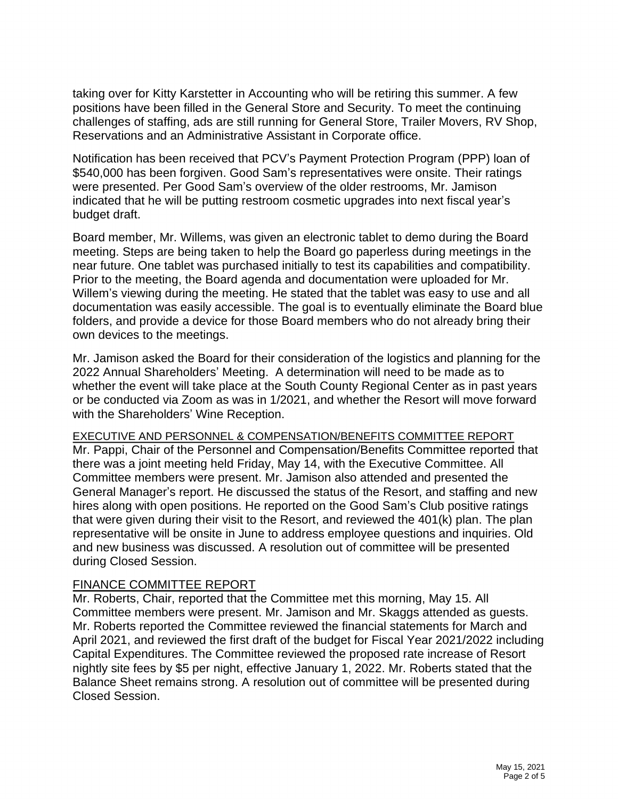taking over for Kitty Karstetter in Accounting who will be retiring this summer. A few positions have been filled in the General Store and Security. To meet the continuing challenges of staffing, ads are still running for General Store, Trailer Movers, RV Shop, Reservations and an Administrative Assistant in Corporate office.

Notification has been received that PCV's Payment Protection Program (PPP) loan of \$540,000 has been forgiven. Good Sam's representatives were onsite. Their ratings were presented. Per Good Sam's overview of the older restrooms, Mr. Jamison indicated that he will be putting restroom cosmetic upgrades into next fiscal year's budget draft.

Board member, Mr. Willems, was given an electronic tablet to demo during the Board meeting. Steps are being taken to help the Board go paperless during meetings in the near future. One tablet was purchased initially to test its capabilities and compatibility. Prior to the meeting, the Board agenda and documentation were uploaded for Mr. Willem's viewing during the meeting. He stated that the tablet was easy to use and all documentation was easily accessible. The goal is to eventually eliminate the Board blue folders, and provide a device for those Board members who do not already bring their own devices to the meetings.

Mr. Jamison asked the Board for their consideration of the logistics and planning for the 2022 Annual Shareholders' Meeting. A determination will need to be made as to whether the event will take place at the South County Regional Center as in past years or be conducted via Zoom as was in 1/2021, and whether the Resort will move forward with the Shareholders' Wine Reception.

#### EXECUTIVE AND PERSONNEL & COMPENSATION/BENEFITS COMMITTEE REPORT Mr. Pappi, Chair of the Personnel and Compensation/Benefits Committee reported that

there was a joint meeting held Friday, May 14, with the Executive Committee. All Committee members were present. Mr. Jamison also attended and presented the General Manager's report. He discussed the status of the Resort, and staffing and new hires along with open positions. He reported on the Good Sam's Club positive ratings that were given during their visit to the Resort, and reviewed the 401(k) plan. The plan representative will be onsite in June to address employee questions and inquiries. Old and new business was discussed. A resolution out of committee will be presented during Closed Session.

### FINANCE COMMITTEE REPORT

Mr. Roberts, Chair, reported that the Committee met this morning, May 15. All Committee members were present. Mr. Jamison and Mr. Skaggs attended as guests. Mr. Roberts reported the Committee reviewed the financial statements for March and April 2021, and reviewed the first draft of the budget for Fiscal Year 2021/2022 including Capital Expenditures. The Committee reviewed the proposed rate increase of Resort nightly site fees by \$5 per night, effective January 1, 2022. Mr. Roberts stated that the Balance Sheet remains strong. A resolution out of committee will be presented during Closed Session.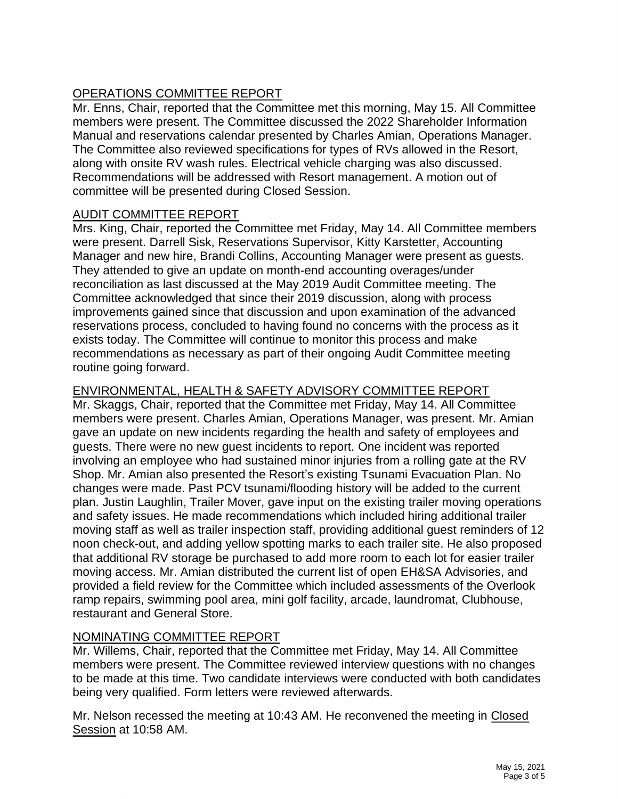# OPERATIONS COMMITTEE REPORT

Mr. Enns, Chair, reported that the Committee met this morning, May 15. All Committee members were present. The Committee discussed the 2022 Shareholder Information Manual and reservations calendar presented by Charles Amian, Operations Manager. The Committee also reviewed specifications for types of RVs allowed in the Resort, along with onsite RV wash rules. Electrical vehicle charging was also discussed. Recommendations will be addressed with Resort management. A motion out of committee will be presented during Closed Session.

### AUDIT COMMITTEE REPORT

Mrs. King, Chair, reported the Committee met Friday, May 14. All Committee members were present. Darrell Sisk, Reservations Supervisor, Kitty Karstetter, Accounting Manager and new hire, Brandi Collins, Accounting Manager were present as guests. They attended to give an update on month-end accounting overages/under reconciliation as last discussed at the May 2019 Audit Committee meeting. The Committee acknowledged that since their 2019 discussion, along with process improvements gained since that discussion and upon examination of the advanced reservations process, concluded to having found no concerns with the process as it exists today. The Committee will continue to monitor this process and make recommendations as necessary as part of their ongoing Audit Committee meeting routine going forward.

# ENVIRONMENTAL, HEALTH & SAFETY ADVISORY COMMITTEE REPORT

Mr. Skaggs, Chair, reported that the Committee met Friday, May 14. All Committee members were present. Charles Amian, Operations Manager, was present. Mr. Amian gave an update on new incidents regarding the health and safety of employees and guests. There were no new guest incidents to report. One incident was reported involving an employee who had sustained minor injuries from a rolling gate at the RV Shop. Mr. Amian also presented the Resort's existing Tsunami Evacuation Plan. No changes were made. Past PCV tsunami/flooding history will be added to the current plan. Justin Laughlin, Trailer Mover, gave input on the existing trailer moving operations and safety issues. He made recommendations which included hiring additional trailer moving staff as well as trailer inspection staff, providing additional guest reminders of 12 noon check-out, and adding yellow spotting marks to each trailer site. He also proposed that additional RV storage be purchased to add more room to each lot for easier trailer moving access. Mr. Amian distributed the current list of open EH&SA Advisories, and provided a field review for the Committee which included assessments of the Overlook ramp repairs, swimming pool area, mini golf facility, arcade, laundromat, Clubhouse, restaurant and General Store.

# NOMINATING COMMITTEE REPORT

Mr. Willems, Chair, reported that the Committee met Friday, May 14. All Committee members were present. The Committee reviewed interview questions with no changes to be made at this time. Two candidate interviews were conducted with both candidates being very qualified. Form letters were reviewed afterwards.

Mr. Nelson recessed the meeting at 10:43 AM. He reconvened the meeting in Closed Session at 10:58 AM.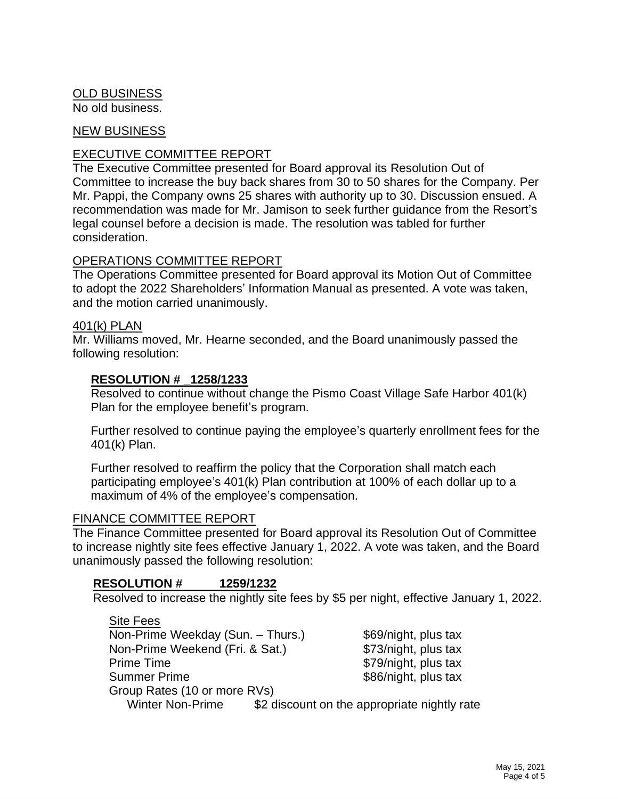# OLD BUSINESS

No old business.

#### NEW BUSINESS

### EXECUTIVE COMMITTEE REPORT

The Executive Committee presented for Board approval its Resolution Out of Committee to increase the buy back shares from 30 to 50 shares for the Company. Per Mr. Pappi, the Company owns 25 shares with authority up to 30. Discussion ensued. A recommendation was made for Mr. Jamison to seek further guidance from the Resort's legal counsel before a decision is made. The resolution was tabled for further consideration.

### OPERATIONS COMMITTEE REPORT

The Operations Committee presented for Board approval its Motion Out of Committee to adopt the 2022 Shareholders' Information Manual as presented. A vote was taken, and the motion carried unanimously.

#### 401(k) PLAN

Mr. Williams moved, Mr. Hearne seconded, and the Board unanimously passed the following resolution:

### **RESOLUTION # \_1258/1233**

Resolved to continue without change the Pismo Coast Village Safe Harbor 401(k) Plan for the employee benefit's program.

Further resolved to continue paying the employee's quarterly enrollment fees for the 401(k) Plan.

Further resolved to reaffirm the policy that the Corporation shall match each participating employee's 401(k) Plan contribution at 100% of each dollar up to a maximum of 4% of the employee's compensation.

#### FINANCE COMMITTEE REPORT

 $\sim$   $\sim$   $\sim$ 

The Finance Committee presented for Board approval its Resolution Out of Committee to increase nightly site fees effective January 1, 2022. A vote was taken, and the Board unanimously passed the following resolution:

### **RESOLUTION # 1259/1232**

Resolved to increase the nightly site fees by \$5 per night, effective January 1, 2022.

| Site Fees                         |                                              |
|-----------------------------------|----------------------------------------------|
| Non-Prime Weekday (Sun. - Thurs.) | \$69/night, plus tax                         |
| Non-Prime Weekend (Fri. & Sat.)   | \$73/night, plus tax                         |
| <b>Prime Time</b>                 | \$79/night, plus tax                         |
| <b>Summer Prime</b>               | \$86/night, plus tax                         |
| Group Rates (10 or more RVs)      |                                              |
| <b>Winter Non-Prime</b>           | \$2 discount on the appropriate nightly rate |
|                                   |                                              |